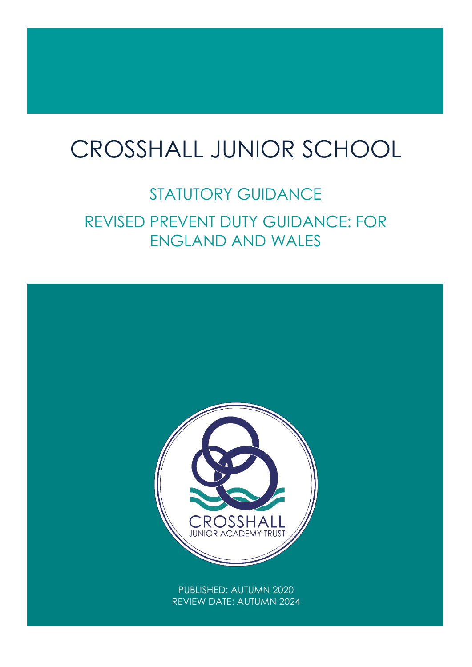# $\overline{1}$ CROSSHALL JUNIOR SCHOOL

# STATUTORY GUIDANCE REVISED PREVENT DUTY GUIDANCE: FOR ENGLAND AND WALES

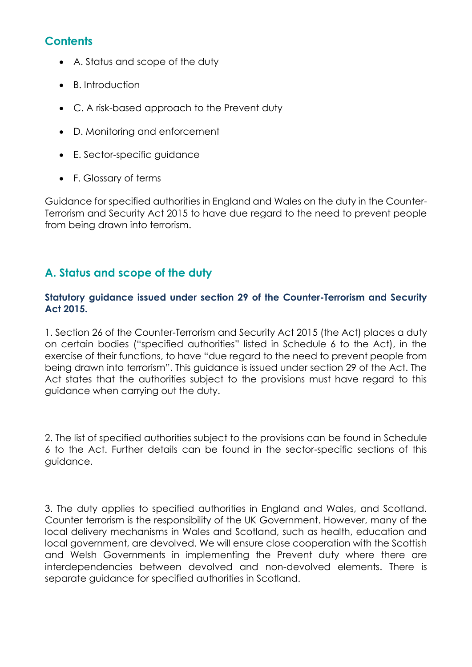# **Contents**

- A. Status and [scope](https://www.gov.uk/government/publications/prevent-duty-guidance/revised-prevent-duty-guidance-for-england-and-wales#a-status-and-scope-of-the-duty) of the duty
- B. [Introduction](https://www.gov.uk/government/publications/prevent-duty-guidance/revised-prevent-duty-guidance-for-england-and-wales#b-introduction)
- C. A risk-based [approach](https://www.gov.uk/government/publications/prevent-duty-guidance/revised-prevent-duty-guidance-for-england-and-wales#c-a-risk-based-approach-to-the-prevent-duty) to the Prevent duty
- D. Monitoring and [enforcement](https://www.gov.uk/government/publications/prevent-duty-guidance/revised-prevent-duty-guidance-for-england-and-wales#d-monitoring-and-enforcement)
- E. [Sector-specific](https://www.gov.uk/government/publications/prevent-duty-guidance/revised-prevent-duty-guidance-for-england-and-wales#e-sector-specific-guidance) guidance
- F. [Glossary](https://www.gov.uk/government/publications/prevent-duty-guidance/revised-prevent-duty-guidance-for-england-and-wales#f-glossary-of-terms) of terms

Guidance for specified authorities in England and Wales on the duty in the Counter-Terrorism and Security Act 2015 to have due regard to the need to prevent people from being drawn into terrorism.

# **A. Status and scope of the duty**

# **Statutory guidance issued under section 29 of the Counter-Terrorism and Security Act 2015.**

1. Section 26 of the Counter-Terrorism and Security Act 2015 (the Act) places a duty on certain bodies ("specified authorities" listed in Schedule 6 to the Act), in the exercise of their functions, to have "due regard to the need to prevent people from being drawn into terrorism". This guidance is issued under section 29 of the Act. The Act states that the authorities subject to the provisions must have regard to this guidance when carrying out the duty.

2. The list of specified authorities subject to the provisions can be found in Schedule 6 to the Act. Further details can be found in the sector-specific sections of this guidance.

3. The duty applies to specified authorities in England and Wales, and Scotland. Counter terrorism is the responsibility of the UK Government. However, many of the local delivery mechanisms in Wales and Scotland, such as health, education and local government, are devolved. We will ensure close cooperation with the Scottish and Welsh Governments in implementing the Prevent duty where there are interdependencies between devolved and non-devolved elements. There is separate guidance for specified authorities in Scotland.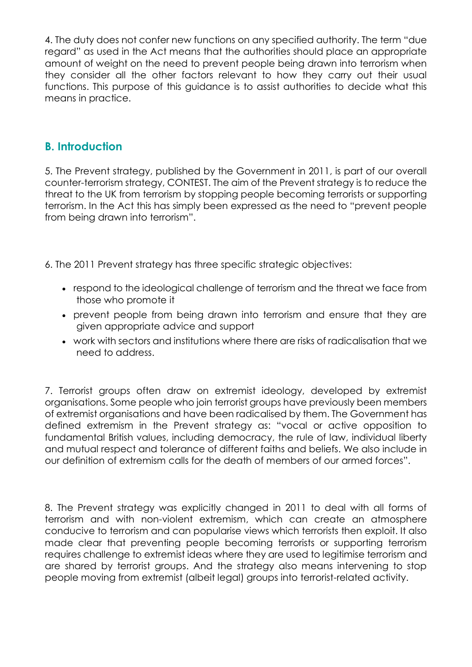4. The duty does not confer new functions on any specified authority. The term "due regard" as used in the Act means that the authorities should place an appropriate amount of weight on the need to prevent people being drawn into terrorism when they consider all the other factors relevant to how they carry out their usual functions. This purpose of this guidance is to assist authorities to decide what this means in practice.

# **B. Introduction**

5. The Prevent strategy, published by the Government in 2011, is part of our overall counter-terrorism strategy, CONTEST. The aim of the Prevent strategy is to reduce the threat to the UK from terrorism by stopping people becoming terrorists or supporting terrorism. In the Act this has simply been expressed as the need to "prevent people from being drawn into terrorism".

6. The 2011 Prevent strategy has three specific strategic objectives:

- respond to the ideological challenge of terrorism and the threat we face from those who promote it
- prevent people from being drawn into terrorism and ensure that they are given appropriate advice and support
- work with sectors and institutions where there are risks of radicalisation that we need to address.

7. Terrorist groups often draw on extremist ideology, developed by extremist organisations. Some people who join terrorist groups have previously been members of extremist organisations and have been radicalised by them. The Government has defined extremism in the Prevent strategy as: "vocal or active opposition to fundamental British values, including democracy, the rule of law, individual liberty and mutual respect and tolerance of different faiths and beliefs. We also include in our definition of extremism calls for the death of members of our armed forces".

8. The Prevent strategy was explicitly changed in 2011 to deal with all forms of terrorism and with non-violent extremism, which can create an atmosphere conducive to terrorism and can popularise views which terrorists then exploit. It also made clear that preventing people becoming terrorists or supporting terrorism requires challenge to extremist ideas where they are used to legitimise terrorism and are shared by terrorist groups. And the strategy also means intervening to stop people moving from extremist (albeit legal) groups into terrorist-related activity.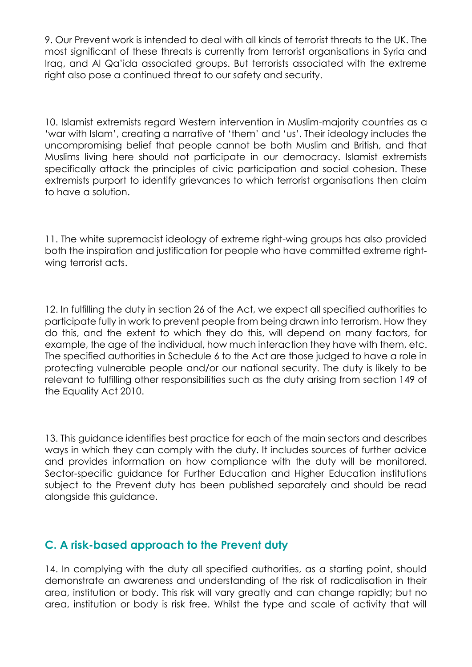9. Our Prevent work is intended to deal with all kinds of terrorist threats to the UK. The most significant of these threats is currently from terrorist organisations in Syria and Iraq, and Al Qa'ida associated groups. But terrorists associated with the extreme right also pose a continued threat to our safety and security.

10. Islamist extremists regard Western intervention in Muslim-majority countries as a 'war with Islam', creating a narrative of 'them' and 'us'. Their ideology includes the uncompromising belief that people cannot be both Muslim and British, and that Muslims living here should not participate in our democracy. Islamist extremists specifically attack the principles of civic participation and social cohesion. These extremists purport to identify grievances to which terrorist organisations then claim to have a solution.

11. The white supremacist ideology of extreme right-wing groups has also provided both the inspiration and justification for people who have committed extreme rightwing terrorist acts.

12. In fulfilling the duty in section 26 of the Act, we expect all specified authorities to participate fully in work to prevent people from being drawn into terrorism. How they do this, and the extent to which they do this, will depend on many factors, for example, the age of the individual, how much interaction they have with them, etc. The specified authorities in Schedule 6 to the Act are those judged to have a role in protecting vulnerable people and/or our national security. The duty is likely to be relevant to fulfilling other responsibilities such as the duty arising from section 149 of the Equality Act 2010.

13. This guidance identifies best practice for each of the main sectors and describes ways in which they can comply with the duty. It includes sources of further advice and provides information on how compliance with the duty will be monitored. Sector-specific guidance for Further Education and Higher Education institutions subject to the Prevent duty has been published separately and should be read alongside this guidance.

# **C. A risk-based approach to the Prevent duty**

14. In complying with the duty all specified authorities, as a starting point, should demonstrate an awareness and understanding of the risk of radicalisation in their area, institution or body. This risk will vary greatly and can change rapidly; but no area, institution or body is risk free. Whilst the type and scale of activity that will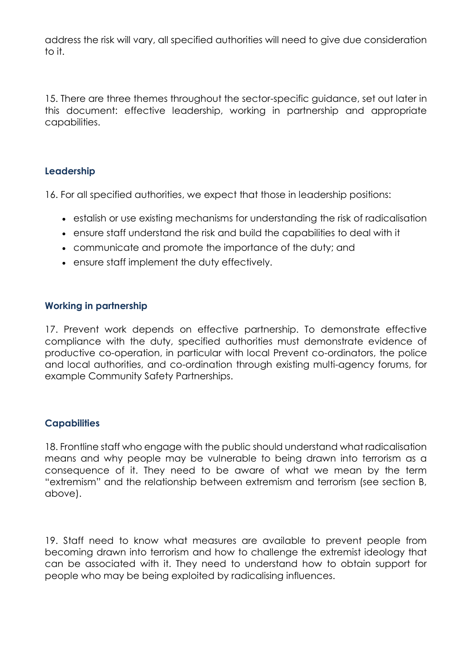address the risk will vary, all specified authorities will need to give due consideration to it.

15. There are three themes throughout the sector-specific guidance, set out later in this document: effective leadership, working in partnership and appropriate capabilities.

# **Leadership**

16. For all specified authorities, we expect that those in leadership positions:

- estalish or use existing mechanisms for understanding the risk of radicalisation
- ensure staff understand the risk and build the capabilities to deal with it
- communicate and promote the importance of the duty; and
- ensure staff implement the duty effectively.

# **Working in partnership**

17. Prevent work depends on effective partnership. To demonstrate effective compliance with the duty, specified authorities must demonstrate evidence of productive co-operation, in particular with local Prevent co-ordinators, the police and local authorities, and co-ordination through existing multi-agency forums, for example Community Safety Partnerships.

# **Capabilities**

18. Frontline staff who engage with the public should understand what radicalisation means and why people may be vulnerable to being drawn into terrorism as a consequence of it. They need to be aware of what we mean by the term "extremism" and the relationship between extremism and terrorism (see section B, above).

19. Staff need to know what measures are available to prevent people from becoming drawn into terrorism and how to challenge the extremist ideology that can be associated with it. They need to understand how to obtain support for people who may be being exploited by radicalising influences.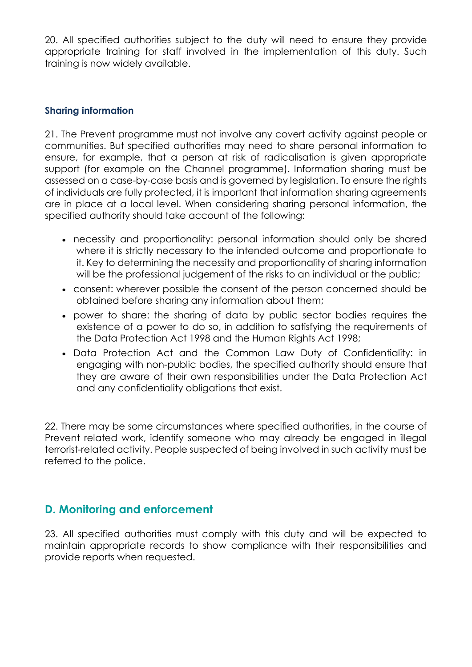20. All specified authorities subject to the duty will need to ensure they provide appropriate training for staff involved in the implementation of this duty. Such training is now widely available.

# **Sharing information**

21. The Prevent programme must not involve any covert activity against people or communities. But specified authorities may need to share personal information to ensure, for example, that a person at risk of radicalisation is given appropriate support (for example on the Channel programme). Information sharing must be assessed on a case-by-case basis and is governed by legislation. To ensure the rights of individuals are fully protected, it is important that information sharing agreements are in place at a local level. When considering sharing personal information, the specified authority should take account of the following:

- necessity and proportionality: personal information should only be shared where it is strictly necessary to the intended outcome and proportionate to it. Key to determining the necessity and proportionality of sharing information will be the professional judgement of the risks to an individual or the public;
- consent: wherever possible the consent of the person concerned should be obtained before sharing any information about them;
- power to share: the sharing of data by public sector bodies requires the existence of a power to do so, in addition to satisfying the requirements of the Data Protection Act 1998 and the Human Rights Act 1998;
- Data Protection Act and the Common Law Duty of Confidentiality: in engaging with non-public bodies, the specified authority should ensure that they are aware of their own responsibilities under the Data Protection Act and any confidentiality obligations that exist.

22. There may be some circumstances where specified authorities, in the course of Prevent related work, identify someone who may already be engaged in illegal terrorist-related activity. People suspected of being involved in such activity must be referred to the police.

# **D. Monitoring and enforcement**

23. All specified authorities must comply with this duty and will be expected to maintain appropriate records to show compliance with their responsibilities and provide reports when requested.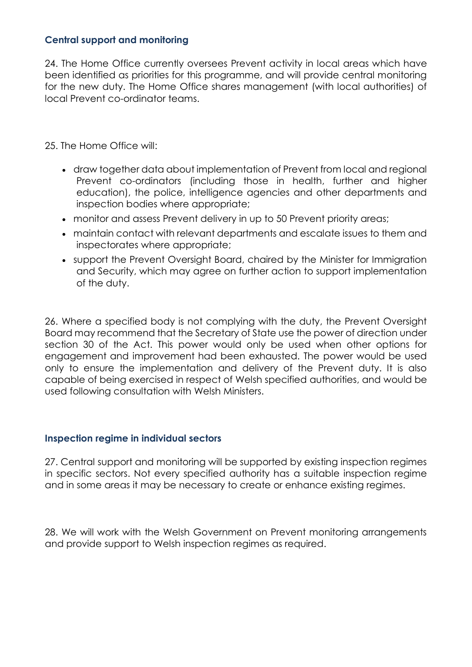# **Central support and monitoring**

24. The Home Office currently oversees Prevent activity in local areas which have been identified as priorities for this programme, and will provide central monitoring for the new duty. The Home Office shares management (with local authorities) of local Prevent co-ordinator teams.

25. The Home Office will:

- draw together data about implementation of Prevent from local and regional Prevent co-ordinators (including those in health, further and higher education), the police, intelligence agencies and other departments and inspection bodies where appropriate;
- monitor and assess Prevent delivery in up to 50 Prevent priority areas;
- maintain contact with relevant departments and escalate issues to them and inspectorates where appropriate;
- support the Prevent Oversight Board, chaired by the Minister for Immigration and Security, which may agree on further action to support implementation of the duty.

26. Where a specified body is not complying with the duty, the Prevent Oversight Board may recommend that the Secretary of State use the power of direction under section 30 of the Act. This power would only be used when other options for engagement and improvement had been exhausted. The power would be used only to ensure the implementation and delivery of the Prevent duty. It is also capable of being exercised in respect of Welsh specified authorities, and would be used following consultation with Welsh Ministers.

#### **Inspection regime in individual sectors**

27. Central support and monitoring will be supported by existing inspection regimes in specific sectors. Not every specified authority has a suitable inspection regime and in some areas it may be necessary to create or enhance existing regimes.

28. We will work with the Welsh Government on Prevent monitoring arrangements and provide support to Welsh inspection regimes as required.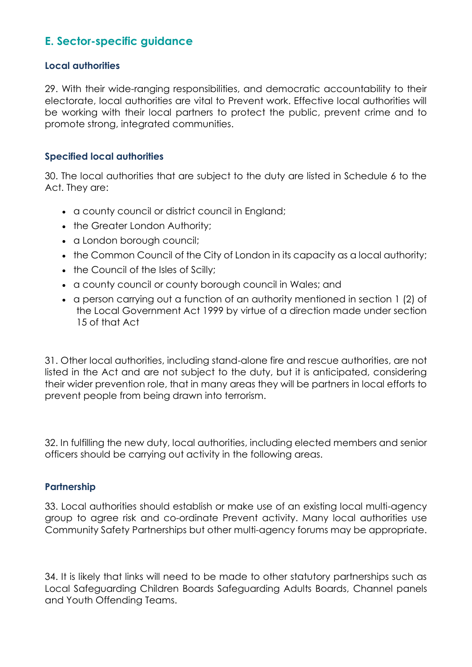# **E. Sector-specific guidance**

#### **Local authorities**

29. With their wide-ranging responsibilities, and democratic accountability to their electorate, local authorities are vital to Prevent work. Effective local authorities will be working with their local partners to protect the public, prevent crime and to promote strong, integrated communities.

## **Specified local authorities**

30. The local authorities that are subject to the duty are listed in Schedule 6 to the Act. They are:

- a county council or district council in England;
- the Greater London Authority;
- a London borough council;
- the Common Council of the City of London in its capacity as a local authority;
- the Council of the Isles of Scilly;
- a county council or county borough council in Wales; and
- a person carrying out a function of an authority mentioned in section 1 (2) of the Local Government Act 1999 by virtue of a direction made under section 15 of that Act

31. Other local authorities, including stand-alone fire and rescue authorities, are not listed in the Act and are not subject to the duty, but it is anticipated, considering their wider prevention role, that in many areas they will be partners in local efforts to prevent people from being drawn into terrorism.

32. In fulfilling the new duty, local authorities, including elected members and senior officers should be carrying out activity in the following areas.

# **Partnership**

33. Local authorities should establish or make use of an existing local multi-agency group to agree risk and co-ordinate Prevent activity. Many local authorities use Community Safety Partnerships but other multi-agency forums may be appropriate.

34. It is likely that links will need to be made to other statutory partnerships such as Local Safeguarding Children Boards Safeguarding Adults Boards, Channel panels and Youth Offending Teams.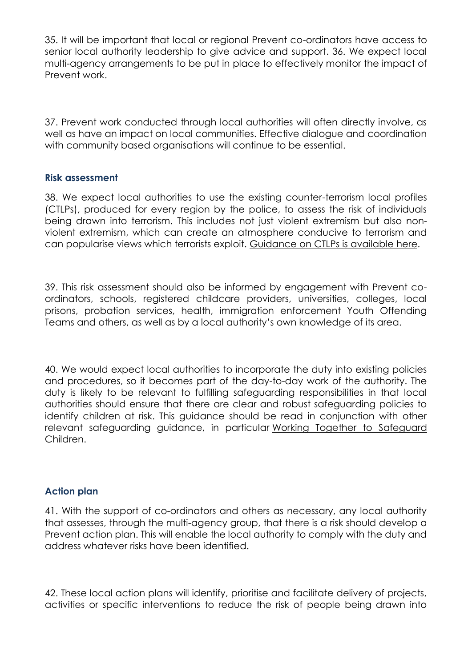35. It will be important that local or regional Prevent co-ordinators have access to senior local authority leadership to give advice and support. 36. We expect local multi-agency arrangements to be put in place to effectively monitor the impact of Prevent work.

37. Prevent work conducted through local authorities will often directly involve, as well as have an impact on local communities. Effective dialogue and coordination with community based organisations will continue to be essential.

#### **Risk assessment**

38. We expect local authorities to use the existing counter-terrorism local profiles (CTLPs), produced for every region by the police, to assess the risk of individuals being drawn into terrorism. This includes not just violent extremism but also nonviolent extremism, which can create an atmosphere conducive to terrorism and can popularise views which terrorists exploit. [Guidance](https://www.gov.uk/government/uploads/system/%0Auploads/attachment_data/file/118203/counterterrorism-local-profiles.pdf) on CTLPs is available here.

39. This risk assessment should also be informed by engagement with Prevent coordinators, schools, registered childcare providers, universities, colleges, local prisons, probation services, health, immigration enforcement Youth Offending Teams and others, as well as by a local authority's own knowledge of its area.

40. We would expect local authorities to incorporate the duty into existing policies and procedures, so it becomes part of the day-to-day work of the authority. The duty is likely to be relevant to fulfilling safeguarding responsibilities in that local authorities should ensure that there are clear and robust safeguarding policies to identify children at risk. This guidance should be read in conjunction with other relevant safeguarding guidance, in particular Working Together to [Safeguard](https://www.gov.uk/government/%0Apublications/working-together-to-safeguardchildren) [Children.](https://www.gov.uk/government/%0Apublications/working-together-to-safeguardchildren)

# **Action plan**

41. With the support of co-ordinators and others as necessary, any local authority that assesses, through the multi-agency group, that there is a risk should develop a Prevent action plan. This will enable the local authority to comply with the duty and address whatever risks have been identified.

42. These local action plans will identify, prioritise and facilitate delivery of projects, activities or specific interventions to reduce the risk of people being drawn into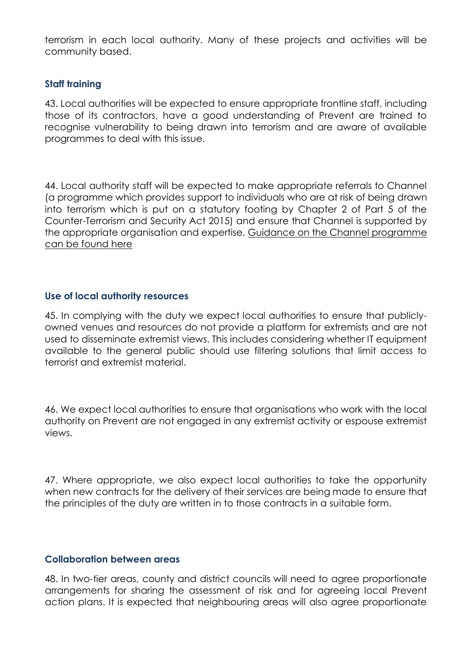terrorism in each local authority. Many of these projects and activities will be community based.

## **Staff training**

43. Local authorities will be expected to ensure appropriate frontline staff, including those of its contractors, have a good understanding of Prevent are trained to recognise vulnerability to being drawn into terrorism and are aware of available programmes to deal with this issue.

44. Local authority staff will be expected to make appropriate referrals to Channel (a programme which provides support to individuals who are at risk of being drawn into terrorism which is put on a statutory footing by Chapter 2 of Part 5 of the Counter-Terrorism and Security Act 2015) and ensure that Channel is supported by the appropriate organisation and expertise. Guidance on the Channel [programme](https://www.gov.uk/government/publications/%0Achannel-guidance) can be [found](https://www.gov.uk/government/publications/%0Achannel-guidance) here

#### **Use of local authority resources**

45. In complying with the duty we expect local authorities to ensure that publiclyowned venues and resources do not provide a platform for extremists and are not used to disseminate extremist views. This includes considering whether IT equipment available to the general public should use filtering solutions that limit access to terrorist and extremist material.

46. We expect local authorities to ensure that organisations who work with the local authority on Prevent are not engaged in any extremist activity or espouse extremist views.

47. Where appropriate, we also expect local authorities to take the opportunity when new contracts for the delivery of their services are being made to ensure that the principles of the duty are written in to those contracts in a suitable form.

#### **Collaboration between areas**

48. In two-tier areas, county and district councils will need to agree proportionate arrangements for sharing the assessment of risk and for agreeing local Prevent action plans. It is expected that neighbouring areas will also agree proportionate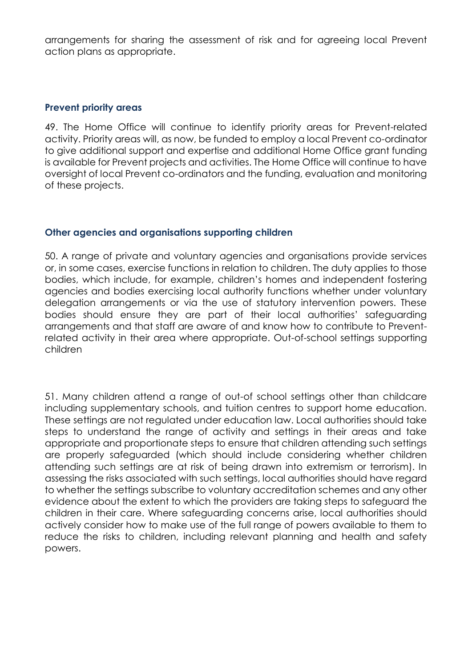arrangements for sharing the assessment of risk and for agreeing local Prevent action plans as appropriate.

#### **Prevent priority areas**

49. The Home Office will continue to identify priority areas for Prevent-related activity. Priority areas will, as now, be funded to employ a local Prevent co-ordinator to give additional support and expertise and additional Home Office grant funding is available for Prevent projects and activities. The Home Office will continue to have oversight of local Prevent co-ordinators and the funding, evaluation and monitoring of these projects.

# **Other agencies and organisations supporting children**

50. A range of private and voluntary agencies and organisations provide services or, in some cases, exercise functions in relation to children. The duty applies to those bodies, which include, for example, children's homes and independent fostering agencies and bodies exercising local authority functions whether under voluntary delegation arrangements or via the use of statutory intervention powers. These bodies should ensure they are part of their local authorities' safeguarding arrangements and that staff are aware of and know how to contribute to Preventrelated activity in their area where appropriate. Out-of-school settings supporting children

51. Many children attend a range of out-of school settings other than childcare including supplementary schools, and tuition centres to support home education. These settings are not regulated under education law. Local authorities should take steps to understand the range of activity and settings in their areas and take appropriate and proportionate steps to ensure that children attending such settings are properly safeguarded (which should include considering whether children attending such settings are at risk of being drawn into extremism or terrorism). In assessing the risks associated with such settings, local authorities should have regard to whether the settings subscribe to voluntary accreditation schemes and any other evidence about the extent to which the providers are taking steps to safeguard the children in their care. Where safeguarding concerns arise, local authorities should actively consider how to make use of the full range of powers available to them to reduce the risks to children, including relevant planning and health and safety powers.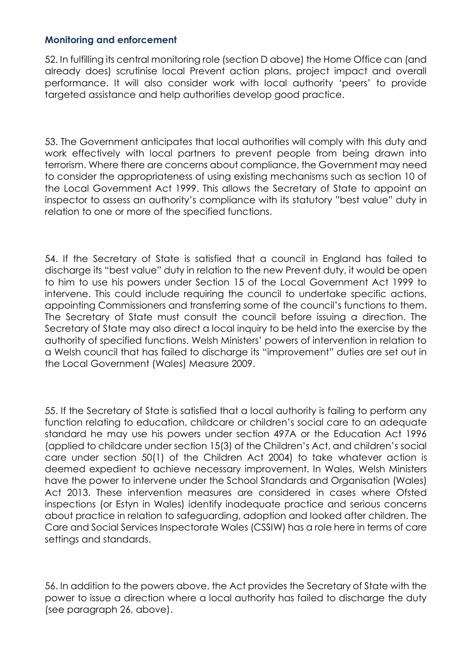## **Monitoring and enforcement**

52. In fulfilling its central monitoring role (section D above) the Home Office can (and already does) scrutinise local Prevent action plans, project impact and overall performance. It will also consider work with local authority 'peers' to provide targeted assistance and help authorities develop good practice.

53. The Government anticipates that local authorities will comply with this duty and work effectively with local partners to prevent people from being drawn into terrorism. Where there are concerns about compliance, the Government may need to consider the appropriateness of using existing mechanisms such as section 10 of the Local Government Act 1999. This allows the Secretary of State to appoint an inspector to assess an authority's compliance with its statutory "best value" duty in relation to one or more of the specified functions.

54. If the Secretary of State is satisfied that a council in England has failed to discharge its "best value" duty in relation to the new Prevent duty, it would be open to him to use his powers under Section 15 of the Local Government Act 1999 to intervene. This could include requiring the council to undertake specific actions, appointing Commissioners and transferring some of the council's functions to them. The Secretary of State must consult the council before issuing a direction. The Secretary of State may also direct a local inquiry to be held into the exercise by the authority of specified functions. Welsh Ministers' powers of intervention in relation to a Welsh council that has failed to discharge its "improvement" duties are set out in the Local Government (Wales) Measure 2009.

55. If the Secretary of State is satisfied that a local authority is failing to perform any function relating to education, childcare or children's social care to an adequate standard he may use his powers under section 497A or the Education Act 1996 (applied to childcare under section 15(3) of the Children's Act, and children's social care under section 50(1) of the Children Act 2004) to take whatever action is deemed expedient to achieve necessary improvement. In Wales, Welsh Ministers have the power to intervene under the School Standards and Organisation (Wales) Act 2013. These intervention measures are considered in cases where Ofsted inspections (or Estyn in Wales) identify inadequate practice and serious concerns about practice in relation to safeguarding, adoption and looked after children. The Care and Social Services Inspectorate Wales (CSSIW) has a role here in terms of care settings and standards.

56. In addition to the powers above, the Act provides the Secretary of State with the power to issue a direction where a local authority has failed to discharge the duty (see paragraph 26, above).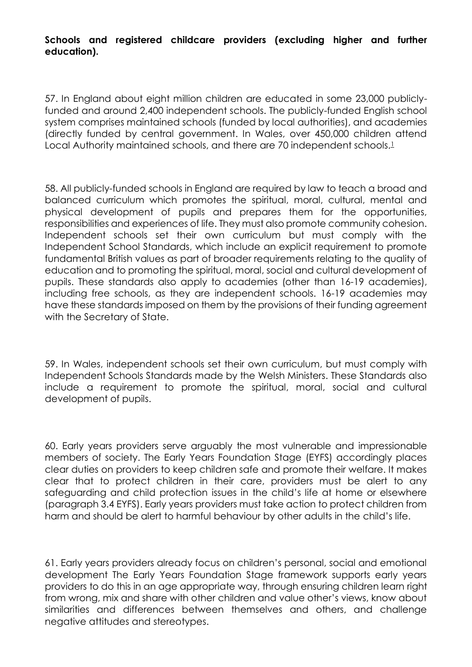**Schools and registered childcare providers (excluding higher and further education).**

57. In England about eight million children are educated in some 23,000 publiclyfunded and around 2,400 independent schools. The publicly-funded English school system comprises maintained schools (funded by local authorities), and academies (directly funded by central government. In Wales, over 450,000 children attend Local Authority maintained schools, and there are 70 independent schools.<sup>[1](https://www.gov.uk/government/publications/prevent-duty-guidance/revised-prevent-duty-guidance-for-england-and-wales#fn:1)</sup>

58. All publicly-funded schools in England are required by law to teach a broad and balanced curriculum which promotes the spiritual, moral, cultural, mental and physical development of pupils and prepares them for the opportunities, responsibilities and experiences of life. They must also promote community cohesion. Independent schools set their own curriculum but must comply with the Independent School Standards, which include an explicit requirement to promote fundamental British values as part of broader requirements relating to the quality of education and to promoting the spiritual, moral, social and cultural development of pupils. These standards also apply to academies (other than 16-19 academies), including free schools, as they are independent schools. 16-19 academies may have these standards imposed on them by the provisions of their funding agreement with the Secretary of State.

59. In Wales, independent schools set their own curriculum, but must comply with Independent Schools Standards made by the Welsh Ministers. These Standards also include a requirement to promote the spiritual, moral, social and cultural development of pupils.

60. Early years providers serve arguably the most vulnerable and impressionable members of society. The Early Years Foundation Stage (EYFS) accordingly places clear duties on providers to keep children safe and promote their welfare. It makes clear that to protect children in their care, providers must be alert to any safeguarding and child protection issues in the child's life at home or elsewhere (paragraph 3.4 EYFS). Early years providers must take action to protect children from harm and should be alert to harmful behaviour by other adults in the child's life.

61. Early years providers already focus on children's personal, social and emotional development The Early Years Foundation Stage framework supports early years providers to do this in an age appropriate way, through ensuring children learn right from wrong, mix and share with other children and value other's views, know about similarities and differences between themselves and others, and challenge negative attitudes and stereotypes.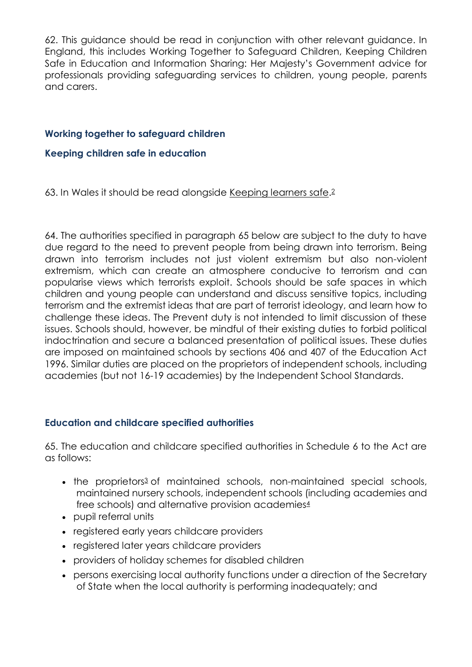62. This guidance should be read in conjunction with other relevant guidance. In England, this includes Working Together to Safeguard Children, Keeping Children Safe in Education and Information Sharing: Her Majesty's Government advice for professionals providing safeguarding services to children, young people, parents and carers.

# **Working together to [safeguard](https://www.gov.uk/government/publications/%0Aworking-together-to-safeguard-children) children**

# **Keeping children safe in [education](https://www.gov.uk/government/publications/%0Akeeping-children-safe-in-education)**

63. In Wales it should be read alongside [Keeping](https://gov.wales/sites/default/files/publications/2018-11/keeping-learners-safe-the-role-of-local-authorities-governing-bodies-and-proprietors-of-independent-schools-under-the-education-act-2002.pdf#radicalisation) learners safe.<sup>[2](https://www.gov.uk/government/publications/prevent-duty-guidance/revised-prevent-duty-guidance-for-england-and-wales#fn:2)</sup>

64. The authorities specified in paragraph 65 below are subject to the duty to have due regard to the need to prevent people from being drawn into terrorism. Being drawn into terrorism includes not just violent extremism but also non-violent extremism, which can create an atmosphere conducive to terrorism and can popularise views which terrorists exploit. Schools should be safe spaces in which children and young people can understand and discuss sensitive topics, including terrorism and the extremist ideas that are part of terrorist ideology, and learn how to challenge these ideas. The Prevent duty is not intended to limit discussion of these issues. Schools should, however, be mindful of their existing duties to forbid political indoctrination and secure a balanced presentation of political issues. These duties are imposed on maintained schools by sections 406 and 407 of the Education Act 1996. Similar duties are placed on the proprietors of independent schools, including academies (but not 16-19 academies) by the Independent School Standards.

# **Education and childcare specified authorities**

65. The education and childcare specified authorities in Schedule 6 to the Act are as follows:

- the proprietors<sup>[3](https://www.gov.uk/government/publications/prevent-duty-guidance/revised-prevent-duty-guidance-for-england-and-wales#fn:3)</sup> of maintained schools, non-maintained special schools, maintained nursery schools, independent schools (including academies and free schools) and alternative provision academies[4](https://www.gov.uk/government/publications/prevent-duty-guidance/revised-prevent-duty-guidance-for-england-and-wales#fn:4)
- pupil referral units
- registered early years childcare providers
- registered later years childcare providers
- providers of holiday schemes for disabled children
- persons exercising local authority functions under a direction of the Secretary of State when the local authority is performing inadequately; and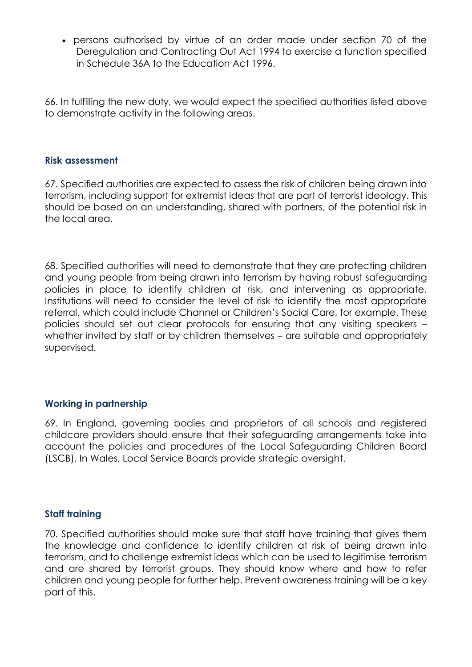persons authorised by virtue of an order made under section 70 of the Deregulation and Contracting Out Act 1994 to exercise a function specified in Schedule 36A to the Education Act 1996.

66. In fulfilling the new duty, we would expect the specified authorities listed above to demonstrate activity in the following areas.

#### **Risk assessment**

67. Specified authorities are expected to assess the risk of children being drawn into terrorism, including support for extremist ideas that are part of terrorist ideology. This should be based on an understanding, shared with partners, of the potential risk in the local area.

68. Specified authorities will need to demonstrate that they are protecting children and young people from being drawn into terrorism by having robust safeguarding policies in place to identify children at risk, and intervening as appropriate. Institutions will need to consider the level of risk to identify the most appropriate referral, which could include Channel or Children's Social Care, for example. These policies should set out clear protocols for ensuring that any visiting speakers – whether invited by staff or by children themselves – are suitable and appropriately supervised.

# **Working in partnership**

69. In England, governing bodies and proprietors of all schools and registered childcare providers should ensure that their safeguarding arrangements take into account the policies and procedures of the Local Safeguarding Children Board (LSCB). In Wales, Local Service Boards provide strategic oversight.

#### **Staff training**

70. Specified authorities should make sure that staff have training that gives them the knowledge and confidence to identify children at risk of being drawn into terrorism, and to challenge extremist ideas which can be used to legitimise terrorism and are shared by terrorist groups. They should know where and how to refer children and young people for further help. Prevent awareness training will be a key part of this.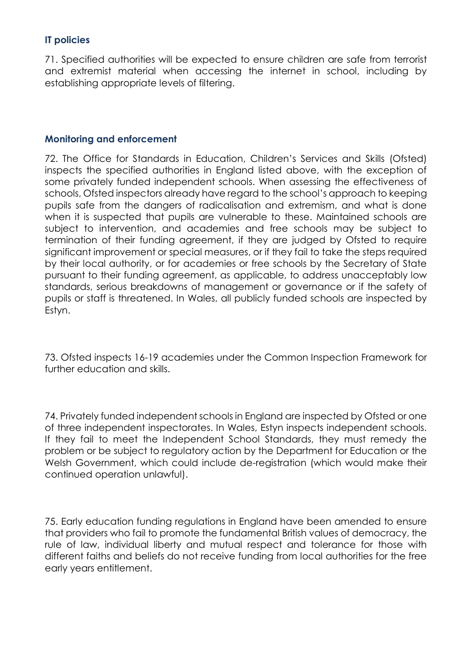# **IT policies**

71. Specified authorities will be expected to ensure children are safe from terrorist and extremist material when accessing the internet in school, including by establishing appropriate levels of filtering.

#### **Monitoring and enforcement**

72. The Office for Standards in Education, Children's Services and Skills (Ofsted) inspects the specified authorities in England listed above, with the exception of some privately funded independent schools. When assessing the effectiveness of schools, Ofsted inspectors already have regard to the school's approach to keeping pupils safe from the dangers of radicalisation and extremism, and what is done when it is suspected that pupils are vulnerable to these. Maintained schools are subject to intervention, and academies and free schools may be subject to termination of their funding agreement, if they are judged by Ofsted to require significant improvement or special measures, or if they fail to take the steps required by their local authority, or for academies or free schools by the Secretary of State pursuant to their funding agreement, as applicable, to address unacceptably low standards, serious breakdowns of management or governance or if the safety of pupils or staff is threatened. In Wales, all publicly funded schools are inspected by Estyn.

73. Ofsted inspects 16-19 academies under the Common Inspection Framework for further education and skills.

74. Privately funded independent schools in England are inspected by Ofsted or one of three independent inspectorates. In Wales, Estyn inspects independent schools. If they fail to meet the Independent School Standards, they must remedy the problem or be subject to regulatory action by the Department for Education or the Welsh Government, which could include de-registration (which would make their continued operation unlawful).

75. Early education funding regulations in England have been amended to ensure that providers who fail to promote the fundamental British values of democracy, the rule of law, individual liberty and mutual respect and tolerance for those with different faiths and beliefs do not receive funding from local authorities for the free early years entitlement.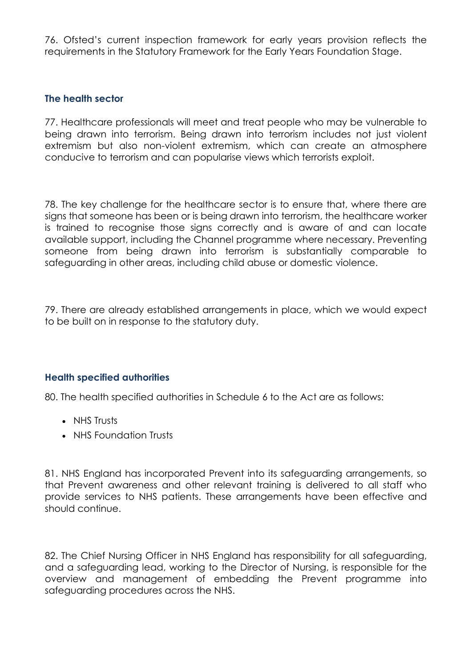76. Ofsted's current inspection framework for early years provision reflects the requirements in the Statutory Framework for the Early Years Foundation Stage.

# **The health sector**

77. Healthcare professionals will meet and treat people who may be vulnerable to being drawn into terrorism. Being drawn into terrorism includes not just violent extremism but also non-violent extremism, which can create an atmosphere conducive to terrorism and can popularise views which terrorists exploit.

78. The key challenge for the healthcare sector is to ensure that, where there are signs that someone has been or is being drawn into terrorism, the healthcare worker is trained to recognise those signs correctly and is aware of and can locate available support, including the Channel programme where necessary. Preventing someone from being drawn into terrorism is substantially comparable to safeguarding in other areas, including child abuse or domestic violence.

79. There are already established arrangements in place, which we would expect to be built on in response to the statutory duty.

# **Health specified authorities**

80. The health specified authorities in Schedule 6 to the Act are as follows:

- NHS Trusts
- NHS Foundation Trusts

81. NHS England has incorporated Prevent into its safeguarding arrangements, so that Prevent awareness and other relevant training is delivered to all staff who provide services to NHS patients. These arrangements have been effective and should continue.

82. The Chief Nursing Officer in NHS England has responsibility for all safeguarding, and a safeguarding lead, working to the Director of Nursing, is responsible for the overview and management of embedding the Prevent programme into safeguarding procedures across the NHS.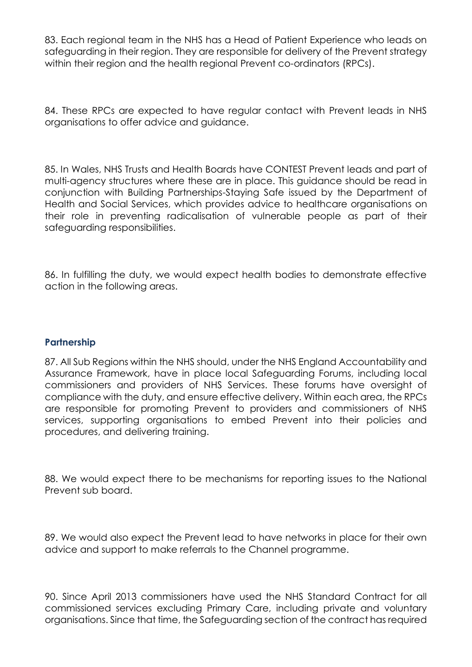83. Each regional team in the NHS has a Head of Patient Experience who leads on safeguarding in their region. They are responsible for delivery of the Prevent strategy within their region and the health regional Prevent co-ordinators (RPCs).

84. These RPCs are expected to have regular contact with Prevent leads in NHS organisations to offer advice and guidance.

85. In Wales, NHS Trusts and Health Boards have CONTEST Prevent leads and part of multi-agency structures where these are in place. This guidance should be read in conjunction with Building Partnerships-Staying Safe issued by the Department of Health and Social Services, which provides advice to healthcare organisations on their role in preventing radicalisation of vulnerable people as part of their safeguarding responsibilities.

86. In fulfilling the duty, we would expect health bodies to demonstrate effective action in the following areas.

#### **Partnership**

87. All Sub Regions within the NHS should, under the NHS England Accountability and Assurance Framework, have in place local Safeguarding Forums, including local commissioners and providers of NHS Services. These forums have oversight of compliance with the duty, and ensure effective delivery. Within each area, the RPCs are responsible for promoting Prevent to providers and commissioners of NHS services, supporting organisations to embed Prevent into their policies and procedures, and delivering training.

88. We would expect there to be mechanisms for reporting issues to the National Prevent sub board.

89. We would also expect the Prevent lead to have networks in place for their own advice and support to make referrals to the Channel programme.

90. Since April 2013 commissioners have used the NHS Standard Contract for all commissioned services excluding Primary Care, including private and voluntary organisations. Since that time, the Safeguarding section of the contract has required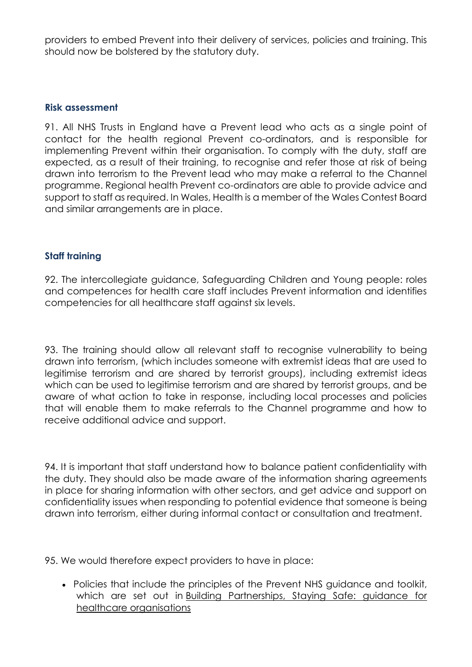providers to embed Prevent into their delivery of services, policies and training. This should now be bolstered by the statutory duty.

#### **Risk assessment**

91. All NHS Trusts in England have a Prevent lead who acts as a single point of contact for the health regional Prevent co-ordinators, and is responsible for implementing Prevent within their organisation. To comply with the duty, staff are expected, as a result of their training, to recognise and refer those at risk of being drawn into terrorism to the Prevent lead who may make a referral to the Channel programme. Regional health Prevent co-ordinators are able to provide advice and support to staff as required. In Wales, Health is a member of the Wales Contest Board and similar arrangements are in place.

#### **Staff training**

92. The intercollegiate guidance, Safeguarding Children and Young people: roles and competences for health care staff includes Prevent information and identifies competencies for all healthcare staff against six levels.

93. The training should allow all relevant staff to recognise vulnerability to being drawn into terrorism, (which includes someone with extremist ideas that are used to legitimise terrorism and are shared by terrorist groups), including extremist ideas which can be used to legitimise terrorism and are shared by terrorist groups, and be aware of what action to take in response, including local processes and policies that will enable them to make referrals to the Channel programme and how to receive additional advice and support.

94. It is important that staff understand how to balance patient confidentiality with the duty. They should also be made aware of the information sharing agreements in place for sharing information with other sectors, and get advice and support on confidentiality issues when responding to potential evidence that someone is being drawn into terrorism, either during informal contact or consultation and treatment.

95. We would therefore expect providers to have in place:

 Policies that include the principles of the Prevent NHS guidance and toolkit, which are set out in Building [Partnerships,](https://www.gov.uk/government/uploads/system/%0Auploads/attachment_data/file/215253/dh_131912.pdf) Staying Safe: guidance for healthcare [organisations](https://www.gov.uk/government/uploads/system/%0Auploads/attachment_data/file/215253/dh_131912.pdf)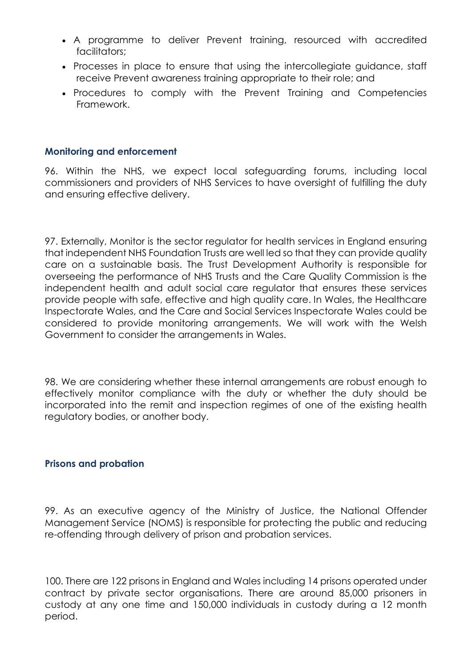- A programme to deliver Prevent training, resourced with accredited facilitators;
- Processes in place to ensure that using the intercollegiate guidance, staff receive Prevent awareness training appropriate to their role; and
- Procedures to comply with the Prevent Training and Competencies Framework.

## **Monitoring and enforcement**

96. Within the NHS, we expect local safeguarding forums, including local commissioners and providers of NHS Services to have oversight of fulfilling the duty and ensuring effective delivery.

97. Externally, Monitor is the sector regulator for health services in England ensuring that independent NHS Foundation Trusts are well led so that they can provide quality care on a sustainable basis. The Trust Development Authority is responsible for overseeing the performance of NHS Trusts and the Care Quality Commission is the independent health and adult social care regulator that ensures these services provide people with safe, effective and high quality care. In Wales, the Healthcare Inspectorate Wales, and the Care and Social Services Inspectorate Wales could be considered to provide monitoring arrangements. We will work with the Welsh Government to consider the arrangements in Wales.

98. We are considering whether these internal arrangements are robust enough to effectively monitor compliance with the duty or whether the duty should be incorporated into the remit and inspection regimes of one of the existing health regulatory bodies, or another body.

#### **Prisons and probation**

99. As an executive agency of the Ministry of Justice, the National Offender Management Service (NOMS) is responsible for protecting the public and reducing re-offending through delivery of prison and probation services.

100. There are 122 prisons in England and Wales including 14 prisons operated under contract by private sector organisations. There are around 85,000 prisoners in custody at any one time and 150,000 individuals in custody during a 12 month period.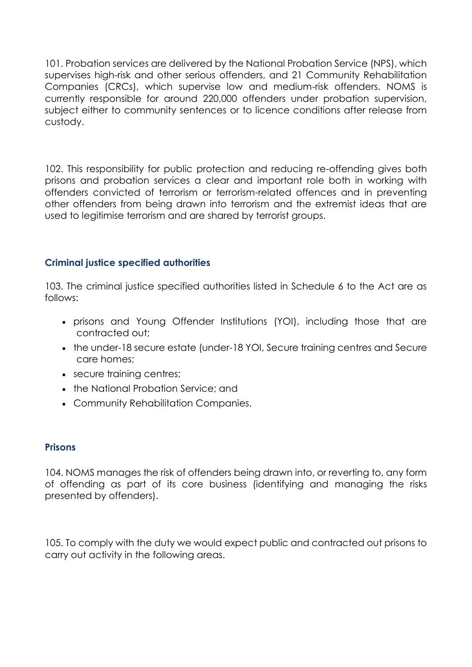101. Probation services are delivered by the National Probation Service (NPS), which supervises high-risk and other serious offenders, and 21 Community Rehabilitation Companies (CRCs), which supervise low and medium-risk offenders. NOMS is currently responsible for around 220,000 offenders under probation supervision, subject either to community sentences or to licence conditions after release from custody.

102. This responsibility for public protection and reducing re-offending gives both prisons and probation services a clear and important role both in working with offenders convicted of terrorism or terrorism-related offences and in preventing other offenders from being drawn into terrorism and the extremist ideas that are used to legitimise terrorism and are shared by terrorist groups.

# **Criminal justice specified authorities**

103. The criminal justice specified authorities listed in Schedule 6 to the Act are as follows:

- prisons and Young Offender Institutions (YOI), including those that are contracted out;
- the under-18 secure estate (under-18 YOI, Secure training centres and Secure care homes;
- secure training centres;
- the National Probation Service: and
- Community Rehabilitation Companies.

# **Prisons**

104. NOMS manages the risk of offenders being drawn into, or reverting to, any form of offending as part of its core business (identifying and managing the risks presented by offenders).

105. To comply with the duty we would expect public and contracted out prisons to carry out activity in the following areas.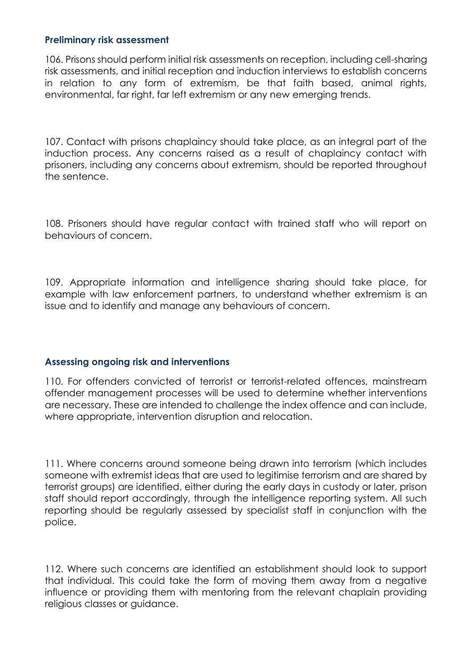#### **Preliminary risk assessment**

106. Prisons should perform initial risk assessments on reception, including cell-sharing risk assessments, and initial reception and induction interviews to establish concerns in relation to any form of extremism, be that faith based, animal rights, environmental, far right, far left extremism or any new emerging trends.

107. Contact with prisons chaplaincy should take place, as an integral part of the induction process. Any concerns raised as a result of chaplaincy contact with prisoners, including any concerns about extremism, should be reported throughout the sentence.

108. Prisoners should have regular contact with trained staff who will report on behaviours of concern.

109. Appropriate information and intelligence sharing should take place, for example with law enforcement partners, to understand whether extremism is an issue and to identify and manage any behaviours of concern.

# **Assessing ongoing risk and interventions**

110. For offenders convicted of terrorist or terrorist-related offences, mainstream offender management processes will be used to determine whether interventions are necessary. These are intended to challenge the index offence and can include, where appropriate, intervention disruption and relocation.

111. Where concerns around someone being drawn into terrorism (which includes someone with extremist ideas that are used to legitimise terrorism and are shared by terrorist groups) are identified, either during the early days in custody or later, prison staff should report accordingly, through the intelligence reporting system. All such reporting should be regularly assessed by specialist staff in conjunction with the police.

112. Where such concerns are identified an establishment should look to support that individual. This could take the form of moving them away from a negative influence or providing them with mentoring from the relevant chaplain providing religious classes or guidance.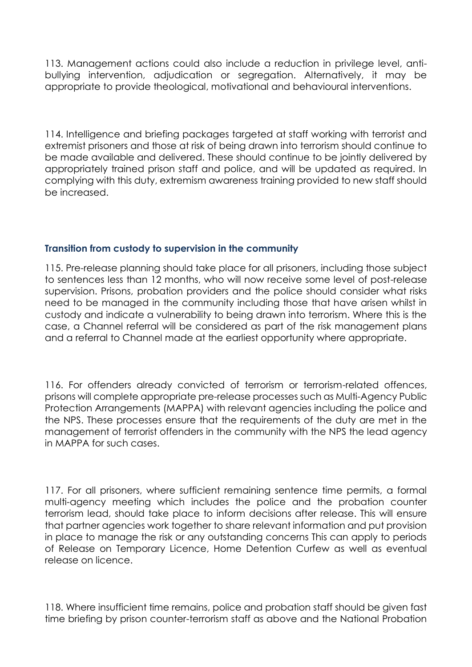113. Management actions could also include a reduction in privilege level, antibullying intervention, adjudication or segregation. Alternatively, it may be appropriate to provide theological, motivational and behavioural interventions.

114. Intelligence and briefing packages targeted at staff working with terrorist and extremist prisoners and those at risk of being drawn into terrorism should continue to be made available and delivered. These should continue to be jointly delivered by appropriately trained prison staff and police, and will be updated as required. In complying with this duty, extremism awareness training provided to new staff should be increased.

# **Transition from custody to supervision in the community**

115. Pre-release planning should take place for all prisoners, including those subject to sentences less than 12 months, who will now receive some level of post-release supervision. Prisons, probation providers and the police should consider what risks need to be managed in the community including those that have arisen whilst in custody and indicate a vulnerability to being drawn into terrorism. Where this is the case, a Channel referral will be considered as part of the risk management plans and a referral to Channel made at the earliest opportunity where appropriate.

116. For offenders already convicted of terrorism or terrorism-related offences, prisons will complete appropriate pre-release processes such as Multi-Agency Public Protection Arrangements (MAPPA) with relevant agencies including the police and the NPS. These processes ensure that the requirements of the duty are met in the management of terrorist offenders in the community with the NPS the lead agency in MAPPA for such cases.

117. For all prisoners, where sufficient remaining sentence time permits, a formal multi-agency meeting which includes the police and the probation counter terrorism lead, should take place to inform decisions after release. This will ensure that partner agencies work together to share relevant information and put provision in place to manage the risk or any outstanding concerns This can apply to periods of Release on Temporary Licence, Home Detention Curfew as well as eventual release on licence.

118. Where insufficient time remains, police and probation staff should be given fast time briefing by prison counter-terrorism staff as above and the National Probation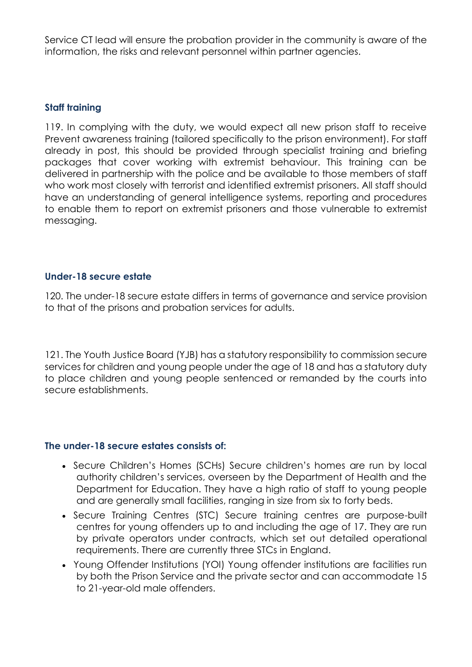Service CT lead will ensure the probation provider in the community is aware of the information, the risks and relevant personnel within partner agencies.

## **Staff training**

119. In complying with the duty, we would expect all new prison staff to receive Prevent awareness training (tailored specifically to the prison environment). For staff already in post, this should be provided through specialist training and briefing packages that cover working with extremist behaviour. This training can be delivered in partnership with the police and be available to those members of staff who work most closely with terrorist and identified extremist prisoners. All staff should have an understanding of general intelligence systems, reporting and procedures to enable them to report on extremist prisoners and those vulnerable to extremist messaging.

#### **Under-18 secure estate**

120. The under-18 secure estate differs in terms of governance and service provision to that of the prisons and probation services for adults.

121. The Youth Justice Board (YJB) has a statutory responsibility to commission secure services for children and young people under the age of 18 and has a statutory duty to place children and young people sentenced or remanded by the courts into secure establishments.

#### **The under-18 secure estates consists of:**

- Secure Children's Homes (SCHs) Secure children's homes are run by local authority children's services, overseen by the Department of Health and the Department for Education. They have a high ratio of staff to young people and are generally small facilities, ranging in size from six to forty beds.
- Secure Training Centres (STC) Secure training centres are purpose-built centres for young offenders up to and including the age of 17. They are run by private operators under contracts, which set out detailed operational requirements. There are currently three STCs in England.
- Young Offender Institutions (YOI) Young offender institutions are facilities run by both the Prison Service and the private sector and can accommodate 15 to 21-year-old male offenders.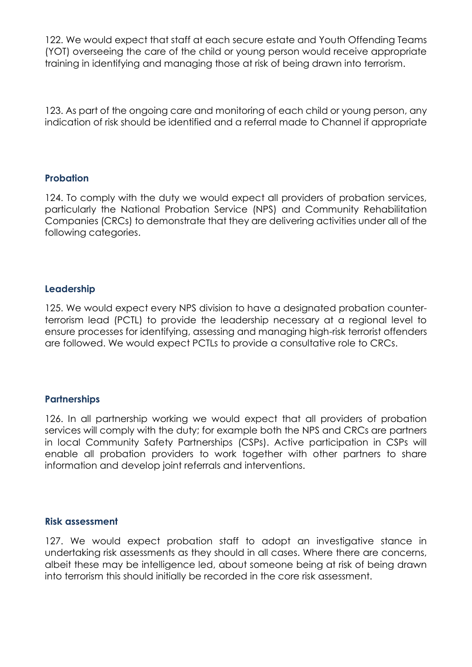122. We would expect that staff at each secure estate and Youth Offending Teams (YOT) overseeing the care of the child or young person would receive appropriate training in identifying and managing those at risk of being drawn into terrorism.

123. As part of the ongoing care and monitoring of each child or young person, any indication of risk should be identified and a referral made to Channel if appropriate

#### **Probation**

124. To comply with the duty we would expect all providers of probation services, particularly the National Probation Service (NPS) and Community Rehabilitation Companies (CRCs) to demonstrate that they are delivering activities under all of the following categories.

# **Leadership**

125. We would expect every NPS division to have a designated probation counterterrorism lead (PCTL) to provide the leadership necessary at a regional level to ensure processes for identifying, assessing and managing high-risk terrorist offenders are followed. We would expect PCTLs to provide a consultative role to CRCs.

# **Partnerships**

126. In all partnership working we would expect that all providers of probation services will comply with the duty; for example both the NPS and CRCs are partners in local Community Safety Partnerships (CSPs). Active participation in CSPs will enable all probation providers to work together with other partners to share information and develop joint referrals and interventions.

#### **Risk assessment**

127. We would expect probation staff to adopt an investigative stance in undertaking risk assessments as they should in all cases. Where there are concerns, albeit these may be intelligence led, about someone being at risk of being drawn into terrorism this should initially be recorded in the core risk assessment.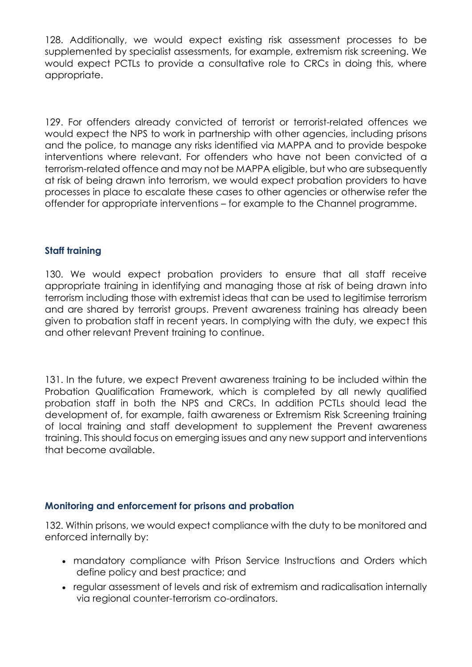128. Additionally, we would expect existing risk assessment processes to be supplemented by specialist assessments, for example, extremism risk screening. We would expect PCTLs to provide a consultative role to CRCs in doing this, where appropriate.

129. For offenders already convicted of terrorist or terrorist-related offences we would expect the NPS to work in partnership with other agencies, including prisons and the police, to manage any risks identified via MAPPA and to provide bespoke interventions where relevant. For offenders who have not been convicted of a terrorism-related offence and may not be MAPPA eligible, but who are subsequently at risk of being drawn into terrorism, we would expect probation providers to have processes in place to escalate these cases to other agencies or otherwise refer the offender for appropriate interventions – for example to the Channel programme.

# **Staff training**

130. We would expect probation providers to ensure that all staff receive appropriate training in identifying and managing those at risk of being drawn into terrorism including those with extremist ideas that can be used to legitimise terrorism and are shared by terrorist groups. Prevent awareness training has already been given to probation staff in recent years. In complying with the duty, we expect this and other relevant Prevent training to continue.

131. In the future, we expect Prevent awareness training to be included within the Probation Qualification Framework, which is completed by all newly qualified probation staff in both the NPS and CRCs. In addition PCTLs should lead the development of, for example, faith awareness or Extremism Risk Screening training of local training and staff development to supplement the Prevent awareness training. This should focus on emerging issues and any new support and interventions that become available.

# **Monitoring and enforcement for prisons and probation**

132. Within prisons, we would expect compliance with the duty to be monitored and enforced internally by:

- mandatory compliance with Prison Service Instructions and Orders which define policy and best practice; and
- regular assessment of levels and risk of extremism and radicalisation internally via regional counter-terrorism co-ordinators.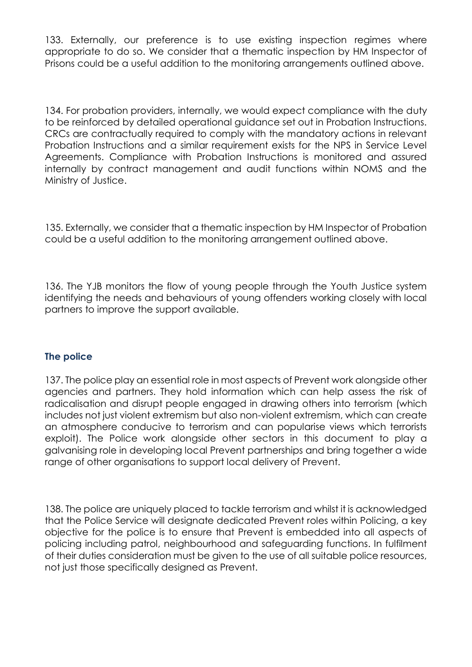133. Externally, our preference is to use existing inspection regimes where appropriate to do so. We consider that a thematic inspection by HM Inspector of Prisons could be a useful addition to the monitoring arrangements outlined above.

134. For probation providers, internally, we would expect compliance with the duty to be reinforced by detailed operational guidance set out in Probation Instructions. CRCs are contractually required to comply with the mandatory actions in relevant Probation Instructions and a similar requirement exists for the NPS in Service Level Agreements. Compliance with Probation Instructions is monitored and assured internally by contract management and audit functions within NOMS and the Ministry of Justice.

135. Externally, we consider that a thematic inspection by HM Inspector of Probation could be a useful addition to the monitoring arrangement outlined above.

136. The YJB monitors the flow of young people through the Youth Justice system identifying the needs and behaviours of young offenders working closely with local partners to improve the support available.

# **The police**

137. The police play an essential role in most aspects of Prevent work alongside other agencies and partners. They hold information which can help assess the risk of radicalisation and disrupt people engaged in drawing others into terrorism (which includes not just violent extremism but also non-violent extremism, which can create an atmosphere conducive to terrorism and can popularise views which terrorists exploit). The Police work alongside other sectors in this document to play a galvanising role in developing local Prevent partnerships and bring together a wide range of other organisations to support local delivery of Prevent.

138. The police are uniquely placed to tackle terrorism and whilst it is acknowledged that the Police Service will designate dedicated Prevent roles within Policing, a key objective for the police is to ensure that Prevent is embedded into all aspects of policing including patrol, neighbourhood and safeguarding functions. In fulfilment of their duties consideration must be given to the use of all suitable police resources, not just those specifically designed as Prevent.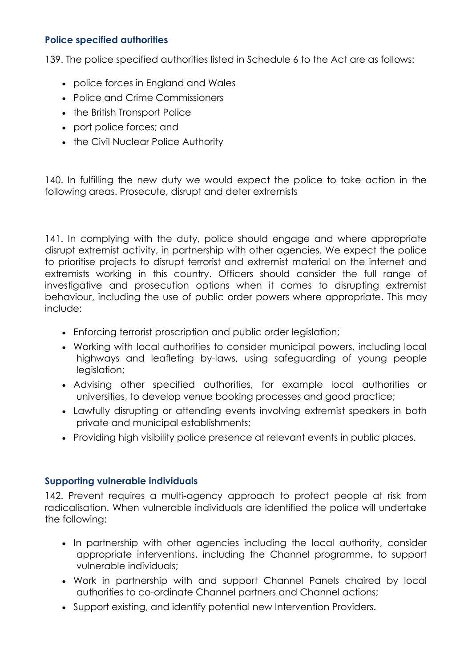# **Police specified authorities**

139. The police specified authorities listed in Schedule 6 to the Act are as follows:

- police forces in England and Wales
- Police and Crime Commissioners
- the British Transport Police
- port police forces; and
- the Civil Nuclear Police Authority

140. In fulfilling the new duty we would expect the police to take action in the following areas. Prosecute, disrupt and deter extremists

141. In complying with the duty, police should engage and where appropriate disrupt extremist activity, in partnership with other agencies. We expect the police to prioritise projects to disrupt terrorist and extremist material on the internet and extremists working in this country. Officers should consider the full range of investigative and prosecution options when it comes to disrupting extremist behaviour, including the use of public order powers where appropriate. This may include:

- Enforcing terrorist proscription and public order legislation;
- Working with local authorities to consider municipal powers, including local highways and leafleting by-laws, using safeguarding of young people legislation;
- Advising other specified authorities, for example local authorities or universities, to develop venue booking processes and good practice;
- Lawfully disrupting or attending events involving extremist speakers in both private and municipal establishments;
- Providing high visibility police presence at relevant events in public places.

# **Supporting vulnerable individuals**

142. Prevent requires a multi-agency approach to protect people at risk from radicalisation. When vulnerable individuals are identified the police will undertake the following:

- In partnership with other agencies including the local authority, consider appropriate interventions, including the Channel programme, to support vulnerable individuals;
- Work in partnership with and support Channel Panels chaired by local authorities to co-ordinate Channel partners and Channel actions;
- Support existing, and identify potential new Intervention Providers.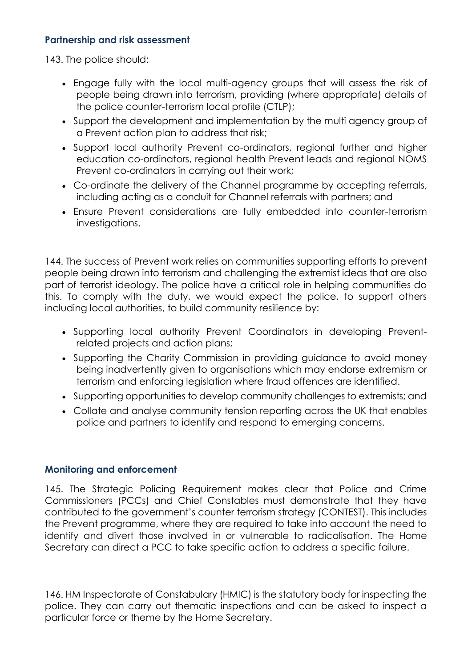# **Partnership and risk assessment**

143. The police should:

- Engage fully with the local multi-agency groups that will assess the risk of people being drawn into terrorism, providing (where appropriate) details of the police counter-terrorism local profile (CTLP);
- Support the development and implementation by the multi agency group of a Prevent action plan to address that risk;
- Support local authority Prevent co-ordinators, regional further and higher education co-ordinators, regional health Prevent leads and regional NOMS Prevent co-ordinators in carrying out their work;
- Co-ordinate the delivery of the Channel programme by accepting referrals, including acting as a conduit for Channel referrals with partners; and
- Ensure Prevent considerations are fully embedded into counter-terrorism investigations.

144. The success of Prevent work relies on communities supporting efforts to prevent people being drawn into terrorism and challenging the extremist ideas that are also part of terrorist ideology. The police have a critical role in helping communities do this. To comply with the duty, we would expect the police, to support others including local authorities, to build community resilience by:

- Supporting local authority Prevent Coordinators in developing Preventrelated projects and action plans;
- Supporting the Charity Commission in providing guidance to avoid money being inadvertently given to organisations which may endorse extremism or terrorism and enforcing legislation where fraud offences are identified.
- Supporting opportunities to develop community challenges to extremists; and
- Collate and analyse community tension reporting across the UK that enables police and partners to identify and respond to emerging concerns.

# **Monitoring and enforcement**

145. The Strategic Policing Requirement makes clear that Police and Crime Commissioners (PCCs) and Chief Constables must demonstrate that they have contributed to the government's counter terrorism strategy (CONTEST). This includes the Prevent programme, where they are required to take into account the need to identify and divert those involved in or vulnerable to radicalisation. The Home Secretary can direct a PCC to take specific action to address a specific failure.

146. HM Inspectorate of Constabulary (HMIC) is the statutory body for inspecting the police. They can carry out thematic inspections and can be asked to inspect a particular force or theme by the Home Secretary.